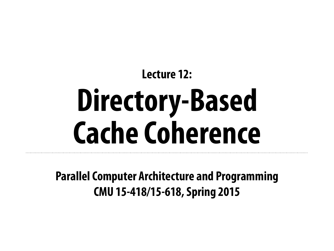**Parallel Computer Architecture and Programming CMU 15-418/15-618, Spring 2015**

# **Lecture 12: Directory-Based Cache Coherence**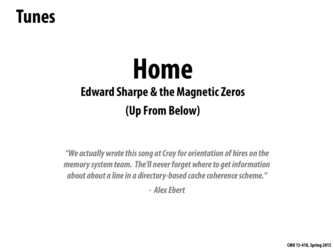## **Home Edward Sharpe & the Magnetic Zeros (Up From Below)**

### **Tunes**

*"We actually wrote this song at Cray for orientation of hires on the memory system team. The'll never forget where to get information about about a line in a directory-based cache coherence scheme."* 

*- [Alex Ebert](http://en.wikipedia.org/wiki/Alex_Ebert)*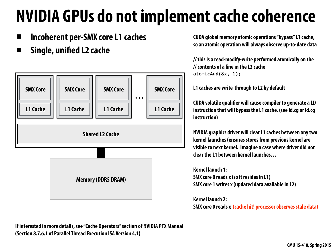### **NVIDIA GPUs do not implement cache coherence**

**▪ Incoherent per-SMX core L1 caches** 

**▪ Single, unifed L2 cache**

**// this is a read-modify-write performed atomically on the // contents of a line in the L2 cache**  atomicAdd(&x, 1);

**CUDA global memory atomic operations "bypass" L1 cache, so an atomic operation will always observe up-to-date data** 



**L1 caches are write-through to L2 by default** 

**CUDA volatile qualifer will cause compiler to generate a LD instruction that will bypass the L1 cache. (see ld.cg or ld.cg** 

**NVIDIA graphics driver will clear L1 caches between any two kernel launches (ensures stores from previous kernel are visible to next kernel. Imagine a case where driver did not clear the L1 between kernel launches…** 

**Kernel launch 1: SMX core 0 reads x (so it resides in L1) SMX core 1 writes x (updated data available in L2)** 

**Kernel launch 2: SMX core 0 reads x (cache hit! processor observes stale data)**

**If interested in more details, see "Cache Operators" section of NVIDIA PTX Manual (Section 8.7.6.1 of Parallel Thread Execution ISA Version 4.1)**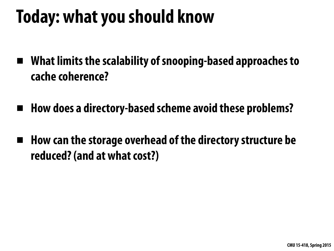## **Today: what you should know**

- **▪ What limits the scalability of snooping-based approaches to cache coherence?**
- **▪ How does a directory-based scheme avoid these problems?**
- **▪ How can the storage overhead of the directory structure be reduced? (and at what cost?)**

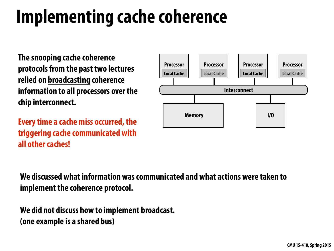# **Implementing cache coherence**



**The snooping cache coherence protocols from the past two lectures relied on broadcasting coherence information to all processors over the chip interconnect.** 

**Every time a cache miss occurred, the triggering cache communicated with all other caches!**

**We discussed what information was communicated and what actions were taken to implement the coherence protocol.** 

**We did not discuss how to implement broadcast. (one example is a shared bus)**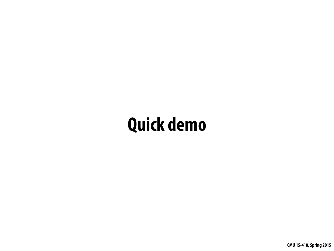## **Quick demo**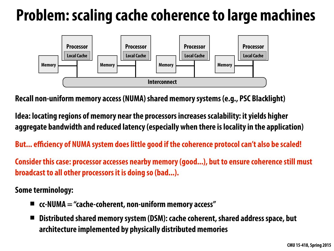### **Problem: scaling cache coherence to large machines**



**Recall non-uniform memory access (NUMA) shared memory systems (e.g., PSC Blacklight)** 

**Idea: locating regions of memory near the processors increases scalability: it yields higher aggregate bandwidth and reduced latency (especially when there is locality in the application)** 

**But... efficiency of NUMA system does little good if the coherence protocol can't also be scaled!** 

**Consider this case: processor accesses nearby memory (good...), but to ensure coherence still must broadcast to all other processors it is doing so (bad...).** 

**Some terminology:** 

- **▪ cc-NUMA = "cache-coherent, non-uniform memory access"**
- **▪ Distributed shared memory system (DSM): cache coherent, shared address space, but architecture implemented by physically distributed memories**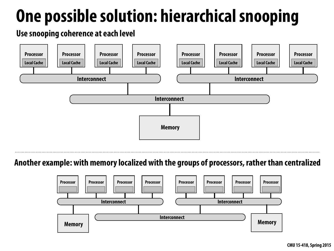## **One possible solution: hierarchical snooping**



### **Use snooping coherence at each level**



### **Another example: with memory localized with the groups of processors, rather than centralized**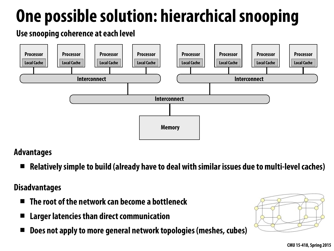## **One possible solution: hierarchical snooping**



**Use snooping coherence at each level**

### **Advantages**

**▪ Relatively simple to build (already have to deal with similar issues due to multi-level caches)** 

### **Disadvantages**

- **▪ The root of the network can become a bottleneck**
- **Larger latencies than direct communication**
- **▪ Does not apply to more general network topologies (meshes, cubes)**

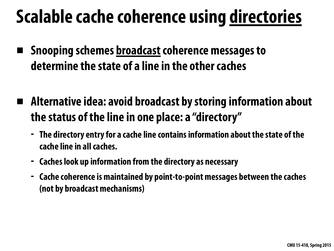## **Scalable cache coherence using directories**

- **▪ Snooping schemes broadcast coherence messages to determine the state of a line in the other caches**
- **▪ Alternative idea: avoid broadcast by storing information about the status of the line in one place: a "directory"** 
	- **- The directory entry for a cache line contains information about the state of the cache line in all caches.**
	- **- Caches look up information from the directory as necessary**
	- **- Cache coherence is maintained by point-to-point messages between the caches (not by broadcast mechanisms)**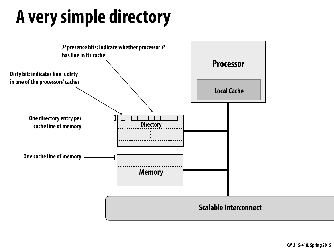## **A very simple directory**

### **Scalable Interconnect**



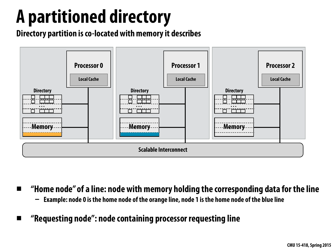## **A partitioned directory**



- **▪ "Home node" of a line: node with memory holding the corresponding data for the line - Example: node 0 is the home node of the orange line, node 1 is the home node of the blue line** 
	- **▪ "Requesting node": node containing processor requesting line**

**Directory partition is co-located with memory it describes**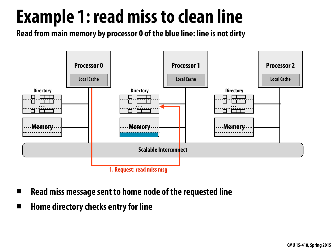### **Example 1: read miss to clean line Read from main memory by processor 0 of the blue line: line is not dirty**



- **▪ Read miss message sent to home node of the requested line**
- **▪ Home directory checks entry for line**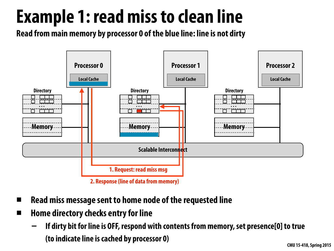### **Example 1: read miss to clean line Read from main memory by processor 0 of the blue line: line is not dirty**



**2. Response (line of data from memory)**

- **▪ Read miss message sent to home node of the requested line**
- **▪ Home directory checks entry for line** 
	- **- If dirty bit for line is OFF, respond with contents from memory, set presence[0] to true (to indicate line is cached by processor 0)**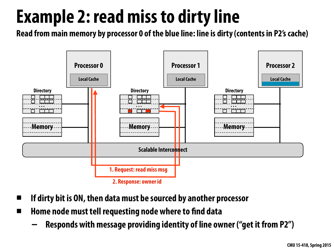# **Example 2: read miss to dirty line**

**Read from main memory by processor 0 of the blue line: line is dirty (contents in P2's cache)**



- **▪ If dirty bit is ON, then data must be sourced by another processor**
- **▪ Home node must tell requesting node where to fnd data** 
	- **- Responds with message providing identity of line owner ("get it from P2")**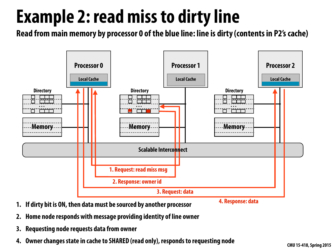# **Example 2: read miss to dirty line**

**Read from main memory by processor 0 of the blue line: line is dirty (contents in P2's cache)**



- **1. If dirty bit is ON, then data must be sourced by another processor**
- **2. Home node responds with message providing identity of line owner**
- **3. Requesting node requests data from owner**
- **4. Owner changes state in cache to SHARED (read only), responds to requesting node**

### **4. Response: data**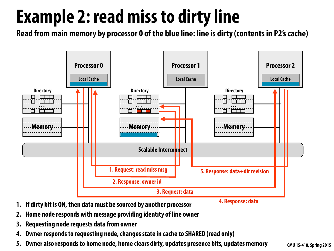# **Example 2: read miss to dirty line**

**Read from main memory by processor 0 of the blue line: line is dirty (contents in P2's cache)**



- **1. If dirty bit is ON, then data must be sourced by another processor**
- **2. Home node responds with message providing identity of line owner**
- **3. Requesting node requests data from owner**
- **4. Owner responds to requesting node, changes state in cache to SHARED (read only)**
- **5. Owner also responds to home node, home clears dirty, updates presence bits, updates memory**

### **4. Response: data**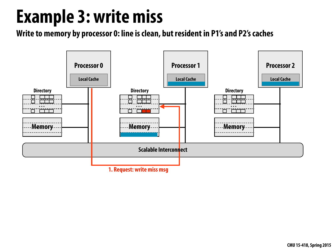### **Example 3: write miss**



**Write to memory by processor 0: line is clean, but resident in P1's and P2's caches**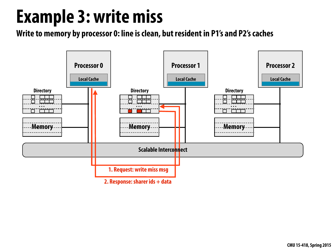### **Example 3: write miss**



**Write to memory by processor 0: line is clean, but resident in P1's and P2's caches**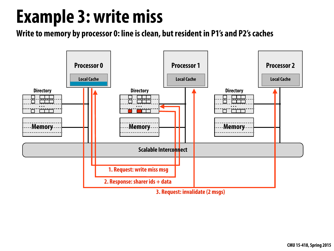### **Example 3: write miss**



**Write to memory by processor 0: line is clean, but resident in P1's and P2's caches**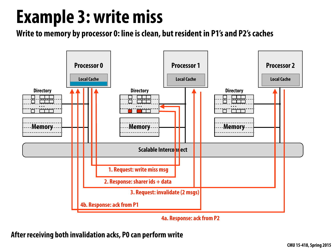## **Example 3: write miss**



**4a. Response: ack from P2**

**Write to memory by processor 0: line is clean, but resident in P1's and P2's caches**

**After receiving both invalidation acks, P0 can perform write**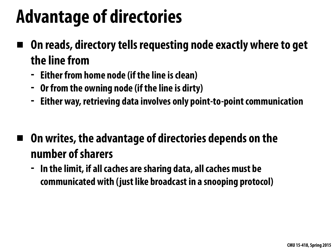## **Advantage of directories**

- **▪ On reads, directory tells requesting node exactly where to get the line from** 
	- **- Either from home node (if the line is clean)**
	- **- Or from the owning node (if the line is dirty)**
	- **- Either way, retrieving data involves only point-to-point communication**
- **▪ On writes, the advantage of directories depends on the number of sharers** 
	- **- In the limit, if all caches are sharing data, all caches must be communicated with (just like broadcast in a snooping protocol)**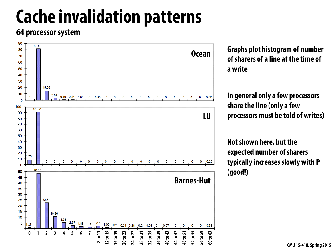# **Cache invalidation patterns**

### **64 processor system**



**Graphs plot histogram of number of sharers of a line at the time of a write** 

**In general only a few processors share the line (only a few processors must be told of writes)** 

**Not shown here, but the expected number of sharers typically increases slowly with P (good!)**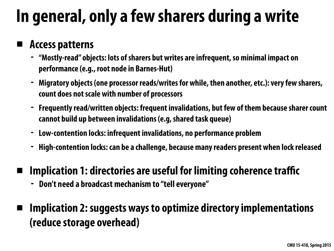## **In general, only a few sharers during a write**

### **▪ Access patterns**

- **- "Mostly-read" objects: lots of sharers but writes are infrequent, so minimal impact on performance (e.g., root node in Barnes-Hut)**
- **- Migratory objects (one processor reads/writes for while, then another, etc.): very few sharers, count does not scale with number of processors**
- **- Frequently read/written objects: frequent invalidations, but few of them because sharer count cannot build up between invalidations (e.g, shared task queue)**
- **- Low-contention locks: infrequent invalidations, no performance problem**
- **- High-contention locks: can be a challenge, because many readers present when lock released**
- **▪ Implication 1: directories are useful for limiting coherence traffic** 
	- **- Don't need a broadcast mechanism to "tell everyone"**
- **Implication 2: suggests ways to optimize directory implementations (reduce storage overhead)**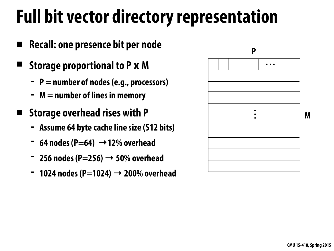### **Full bit vector directory representation**

- **▪ Recall: one presence bit per node**
- **▪ Storage proportional to P x M** 
	- **- P = number of nodes (e.g., processors)**
	- **- M = number of lines in memory**
	- **▪ Storage overhead rises with P** 
		- **- Assume 64 byte cache line size (512 bits)**
		- **- 64 nodes (P=64) →12% overhead**
		- **- 256 nodes (P=256) → 50% overhead**
		- **- 1024 nodes (P=1024) → 200% overhead**



**M**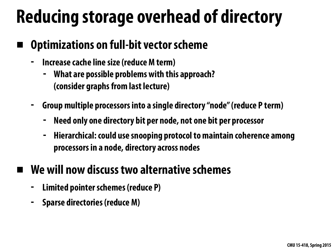## **Reducing storage overhead of directory**

### **▪ Optimizations on full-bit vector scheme**

- **- Increase cache line size (reduce M term)** 
	- **- What are possible problems with this approach? (consider graphs from last lecture)**
- **- Group multiple processors into a single directory "node" (reduce P term)** 
	- **- Need only one directory bit per node, not one bit per processor**
	- **- Hierarchical: could use snooping protocol to maintain coherence among processors in a node, directory across nodes**

### **▪ We will now discuss two alternative schemes**

- **- Limited pointer schemes (reduce P)**
- **- Sparse directories (reduce M)**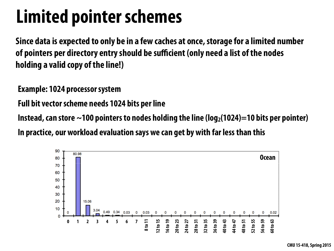## **Limited pointer schemes**

**Since data is expected to only be in a few caches at once, storage for a limited number of pointers per directory entry should be sufficient (only need a list of the nodes holding a valid copy of the line!)**

**Example: 1024 processor system** 

**Full bit vector scheme needs 1024 bits per line** 

Instead, can store  $\sim$ 100 pointers to nodes holding the line (log<sub>2</sub>(1024)=10 bits per pointer)



**In practice, our workload evaluation says we can get by with far less than this**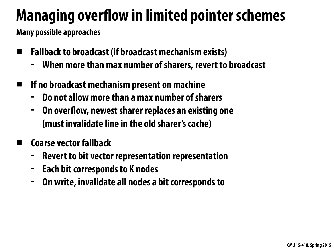### **Managing overfow in limited pointer schemes**

- **▪ Fallback to broadcast (if broadcast mechanism exists)** 
	- **- When more than max number of sharers, revert to broadcast**
- **▪ If no broadcast mechanism present on machine** 
	-
	- **- Do not allow more than a max number of sharers - On overfow, newest sharer replaces an existing one (must invalidate line in the old sharer's cache)**
	- **▪ Coarse vector fallback** 
		- **- Revert to bit vector representation representation**
		- **- Each bit corresponds to K nodes**
		- **- On write, invalidate all nodes a bit corresponds to**

**Many possible approaches**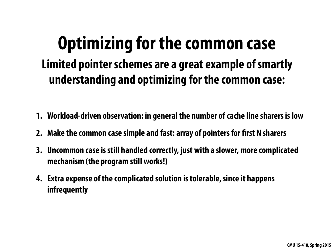### **Optimizing for the common case Limited pointer schemes are a great example of smartly understanding and optimizing for the common case:**

- **1. Workload-driven observation: in general the number of cache line sharers is low**
- **2. Make the common case simple and fast: array of pointers for frst N sharers**
- **3. Uncommon case is still handled correctly, just with a slower, more complicated mechanism (the program still works!)**
- **4. Extra expense of the complicated solution is tolerable, since it happens infrequently**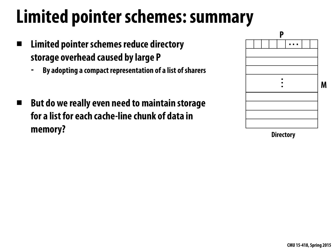# **Limited pointer schemes: summary**

- **▪ Limited pointer schemes reduce directory storage overhead caused by large P** 
	- **- By adopting a compact representation of a list of sharers**
- But do we really even need to maintain storage **for a list for each cache-line chunk of data in memory?**



**Directory**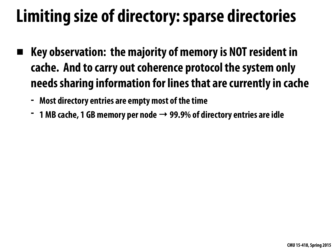## **Limiting size of directory: sparse directories**

- **▪ Key observation: the majority of memory is NOT resident in cache. And to carry out coherence protocol the system only needs sharing information for lines that are currently in cache** 
	- **- Most directory entries are empty most of the time**
	- **- 1 MB cache, 1 GB memory per node → 99.9% of directory entries are idle**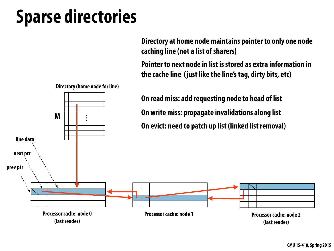## **Sparse directories**



**Processor cache: node 0 (last reader)**

**Processor cache: node 1**

- 
- 
- 
- 
- 

**Processor cache: node 2 (last reader)**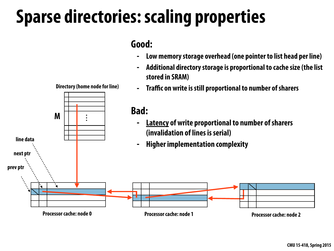## **Sparse directories: scaling properties**

### **Good:**

### **- Low memory storage overhead (one pointer to list head per line) - Additional directory storage is proportional to cache size (the list**

- 
- **stored in SRAM)**
- 

### **- Traffic on write is still proportional to number of sharers**

**Directory (home node for line)**



**Processor cache: node 2**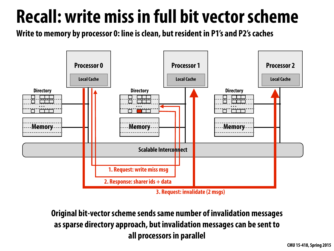# **Recall: write miss in full bit vector scheme**

**Write to memory by processor 0: line is clean, but resident in P1's and P2's caches**



**Original bit-vector scheme sends same number of invalidation messages as sparse directory approach, but invalidation messages can be sent to all processors in parallel**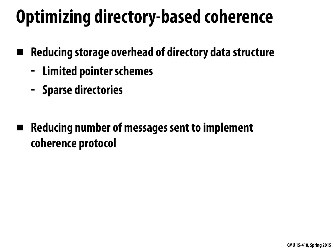# **Optimizing directory-based coherence**

- **▪ Reducing storage overhead of directory data structure** 
	- **- Limited pointer schemes**
	- **- Sparse directories**
- **▪ Reducing number of messages sent to implement coherence protocol**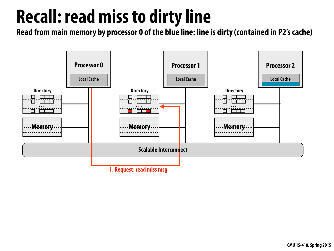

### **Read from main memory by processor 0 of the blue line: line is dirty (contained in P2's cache) Recall: read miss to dirty line**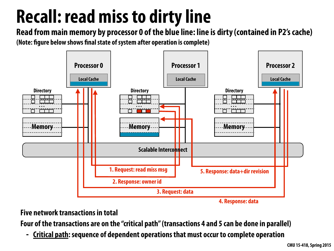### **Recall: read miss to dirty line Read from main memory by processor 0 of the blue line: line is dirty (contained in P2's cache)**

**(Note: fgure below shows fnal state of system after operation is complete)**



**Five network transactions in total** 

**Four of the transactions are on the "critical path" (transactions 4 and 5 can be done in parallel)** 

**- Critical path: sequence of dependent operations that must occur to complete operation**

**4. Response: data**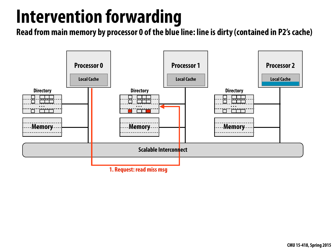## **Intervention forwarding**



**Read from main memory by processor 0 of the blue line: line is dirty (contained in P2's cache)**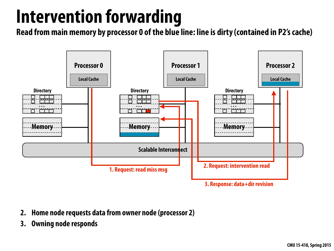# **Intervention forwarding**

**Read from main memory by processor 0 of the blue line: line is dirty (contained in P2's cache)**



**3. Response: data+dir revision**

- **2. Home node requests data from owner node (processor 2)**
- **3. Owning node responds**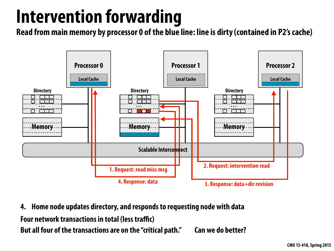# **Intervention forwarding**

**Read from main memory by processor 0 of the blue line: line is dirty (contained in P2's cache)**



**4. Home node updates directory, and responds to requesting node with data Four network transactions in total (less traffic) But all four of the transactions are on the "critical path." Can we do better?**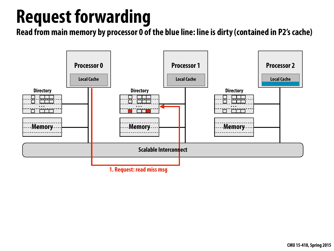## **Request forwarding**



**Read from main memory by processor 0 of the blue line: line is dirty (contained in P2's cache)**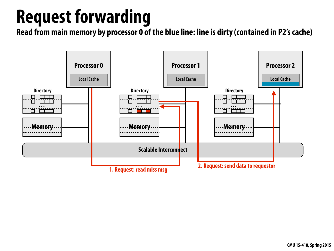## **Request forwarding**



**Read from main memory by processor 0 of the blue line: line is dirty (contained in P2's cache)**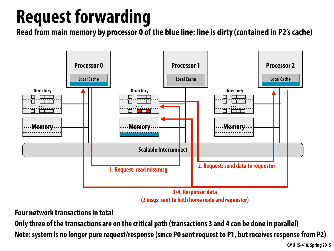## **Request forwarding**



**<sup>3/4.</sup> Response: data (2 msgs: sent to both home node and requestor)**

**Read from main memory by processor 0 of the blue line: line is dirty (contained in P2's cache)**

**Four network transactions in total** 

**Only three of the transactions are on the critical path (transactions 3 and 4 can be done in parallel) Note: system is no longer pure request/response (since P0 sent request to P1, but receives response from P2)**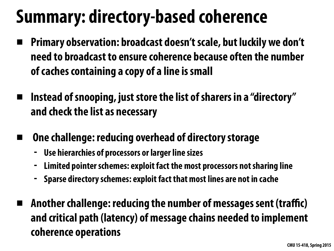# **Summary: directory-based coherence**

- **▪ Primary observation: broadcast doesn't scale, but luckily we don't need to broadcast to ensure coherence because often the number of caches containing a copy of a line is small**
- **Instead of snooping, just store the list of sharers in a "directory" and check the list as necessary** 
	- **One challenge: reducing overhead of directory storage** 
		- **- Use hierarchies of processors or larger line sizes**
		- **- Limited pointer schemes: exploit fact the most processors not sharing line**
		- **- Sparse directory schemes: exploit fact that most lines are not in cache**
- **▪ Another challenge: reducing the number of messages sent (traffic) and critical path (latency) of message chains needed to implement coherence operations**